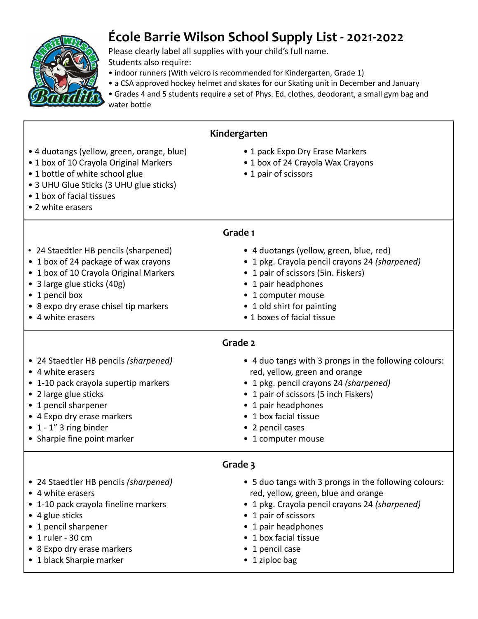

Г

## **École Barrie Wilson School Supply List - 2021-2022**

Please clearly label all supplies with your child's full name. Students also require:

- indoor runners (With velcro is recommended for Kindergarten, Grade 1)
- a CSA approved hockey helmet and skates for our Skating unit in December and January
- Grades 4 and 5 students require a set of Phys. Ed. clothes, deodorant, a small gym bag and water bottle

٦

| Kindergarten                                                                                                                                                                                                                                       |                                                                                                                                                                                                                                                                     |  |
|----------------------------------------------------------------------------------------------------------------------------------------------------------------------------------------------------------------------------------------------------|---------------------------------------------------------------------------------------------------------------------------------------------------------------------------------------------------------------------------------------------------------------------|--|
| • 4 duotangs (yellow, green, orange, blue)<br>• 1 box of 10 Crayola Original Markers<br>• 1 bottle of white school glue<br>• 3 UHU Glue Sticks (3 UHU glue sticks)<br>• 1 box of facial tissues<br>• 2 white erasers                               | • 1 pack Expo Dry Erase Markers<br>• 1 box of 24 Crayola Wax Crayons<br>• 1 pair of scissors                                                                                                                                                                        |  |
| Grade 1                                                                                                                                                                                                                                            |                                                                                                                                                                                                                                                                     |  |
| • 24 Staedtler HB pencils (sharpened)<br>• 1 box of 24 package of wax crayons<br>• 1 box of 10 Crayola Original Markers<br>• 3 large glue sticks (40g)<br>• 1 pencil box<br>• 8 expo dry erase chisel tip markers<br>• 4 white erasers             | • 4 duotangs (yellow, green, blue, red)<br>• 1 pkg. Crayola pencil crayons 24 (sharpened)<br>• 1 pair of scissors (5in. Fiskers)<br>• 1 pair headphones<br>• 1 computer mouse<br>• 1 old shirt for painting<br>• 1 boxes of facial tissue                           |  |
| Grade 2                                                                                                                                                                                                                                            |                                                                                                                                                                                                                                                                     |  |
| • 24 Staedtler HB pencils (sharpened)<br>• 4 white erasers<br>• 1-10 pack crayola supertip markers<br>• 2 large glue sticks<br>• 1 pencil sharpener<br>• 4 Expo dry erase markers<br>$\bullet$ 1 - 1" 3 ring binder<br>• Sharpie fine point marker | • 4 duo tangs with 3 prongs in the following colours:<br>red, yellow, green and orange<br>• 1 pkg. pencil crayons 24 (sharpened)<br>• 1 pair of scissors (5 inch Fiskers)<br>• 1 pair headphones<br>• 1 box facial tissue<br>• 2 pencil cases<br>• 1 computer mouse |  |
| Grade 3                                                                                                                                                                                                                                            |                                                                                                                                                                                                                                                                     |  |
| • 24 Staedtler HB pencils (sharpened)<br>• 4 white erasers<br>• 1-10 pack crayola fineline markers<br>• 4 glue sticks<br>• 1 pencil sharpener<br>$\bullet$ 1 ruler - 30 cm<br>• 8 Expo dry erase markers<br>• 1 black Sharpie marker               | • 5 duo tangs with 3 prongs in the following colours:<br>red, yellow, green, blue and orange<br>1 pkg. Crayola pencil crayons 24 (sharpened)<br>• 1 pair of scissors<br>• 1 pair headphones<br>• 1 box facial tissue<br>• 1 pencil case<br>• 1 ziploc bag           |  |